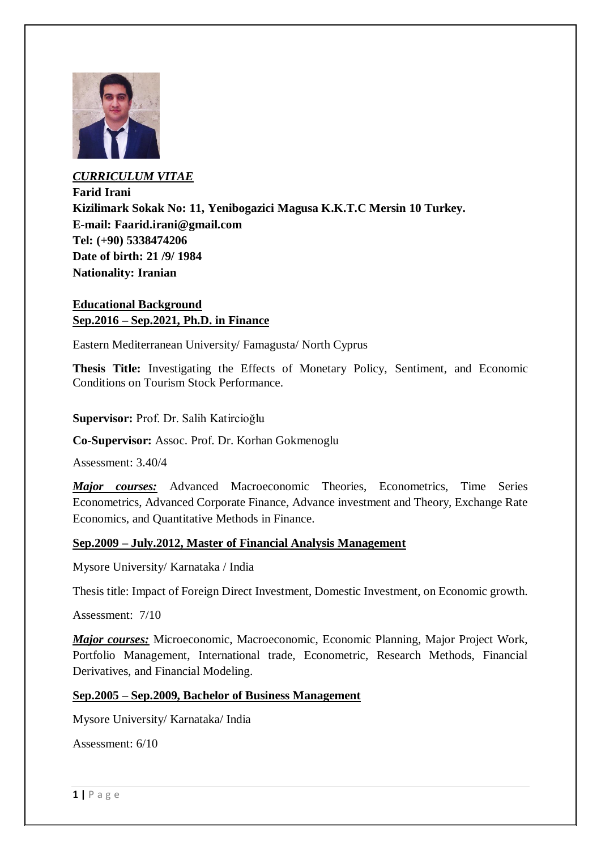

*CURRICULUM VITAE* **Farid Irani Kizilimark Sokak No: 11, Yenibogazici Magusa K.K.T.C Mersin 10 Turkey. E-mail: Faarid.irani@gmail.com Tel: (+90) 5338474206 Date of birth: 21 /9/ 1984 Nationality: Iranian**

# **Educational Background Sep.2016 – Sep.2021, Ph.D. in Finance**

Eastern Mediterranean University/ Famagusta/ North Cyprus

**Thesis Title:** Investigating the Effects of Monetary Policy, Sentiment, and Economic Conditions on Tourism Stock Performance.

**Supervisor:** Prof. Dr. Salih Katircioğlu

**Co-Supervisor:** Assoc. Prof. Dr. Korhan Gokmenoglu

Assessment: 3.40/4

*Major courses:* Advanced Macroeconomic Theories, Econometrics, Time Series Econometrics, Advanced Corporate Finance, Advance investment and Theory, Exchange Rate Economics, and Quantitative Methods in Finance.

### **Sep.2009 – July.2012, Master of Financial Analysis Management**

Mysore University/ Karnataka / India

Thesis title: Impact of Foreign Direct Investment, Domestic Investment, on Economic growth.

Assessment: 7/10

*Major courses:* Microeconomic, Macroeconomic, Economic Planning, Major Project Work, Portfolio Management, International trade, Econometric, Research Methods, Financial Derivatives, and Financial Modeling.

### **Sep.2005 – Sep.2009, Bachelor of Business Management**

Mysore University/ Karnataka/ India

Assessment: 6/10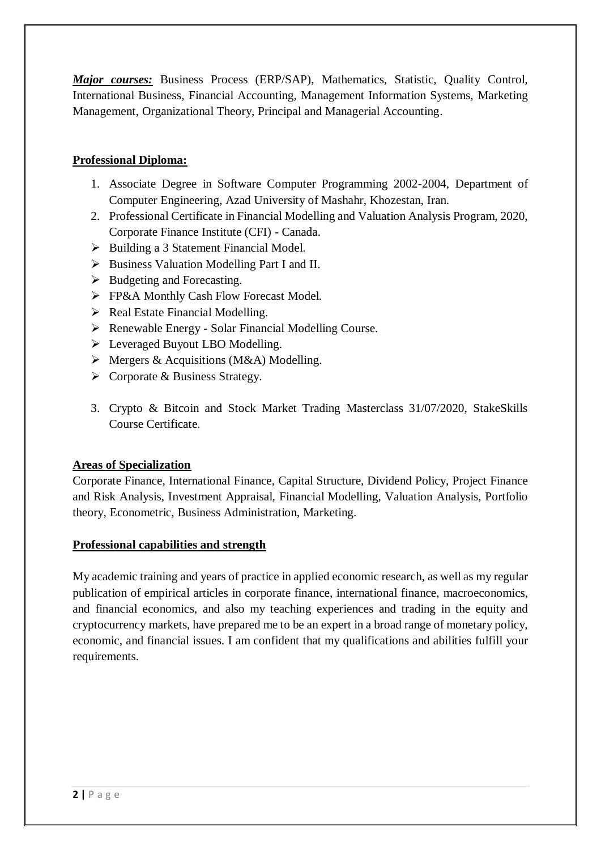*Major courses:* Business Process (ERP/SAP), Mathematics, Statistic, Quality Control, International Business, Financial Accounting, Management Information Systems, Marketing Management, Organizational Theory, Principal and Managerial Accounting.

# **Professional Diploma:**

- 1. Associate Degree in Software Computer Programming 2002-2004, Department of Computer Engineering, Azad University of Mashahr, Khozestan, Iran.
- 2. Professional Certificate in Financial Modelling and Valuation Analysis Program, 2020, Corporate Finance Institute (CFI) - Canada.
- $\triangleright$  Building a 3 Statement Financial Model.
- $\triangleright$  Business Valuation Modelling Part I and II.
- $\triangleright$  Budgeting and Forecasting.
- **FP&A Monthly Cash Flow Forecast Model.**
- $\triangleright$  Real Estate Financial Modelling.
- Renewable Energy Solar Financial Modelling Course.
- Everaged Buyout LBO Modelling.
- $\triangleright$  Mergers & Acquisitions (M&A) Modelling.
- $\triangleright$  Corporate & Business Strategy.
- 3. Crypto & Bitcoin and Stock Market Trading Masterclass 31/07/2020, StakeSkills Course Certificate.

# **Areas of Specialization**

Corporate Finance, International Finance, Capital Structure, Dividend Policy, Project Finance and Risk Analysis, Investment Appraisal, Financial Modelling, Valuation Analysis, Portfolio theory, Econometric, Business Administration, Marketing.

## **Professional capabilities and strength**

My academic training and years of practice in applied economic research, as well as my regular publication of empirical articles in corporate finance, international finance, macroeconomics, and financial economics, and also my teaching experiences and trading in the equity and cryptocurrency markets, have prepared me to be an expert in a broad range of monetary policy, economic, and financial issues. I am confident that my qualifications and abilities fulfill your requirements.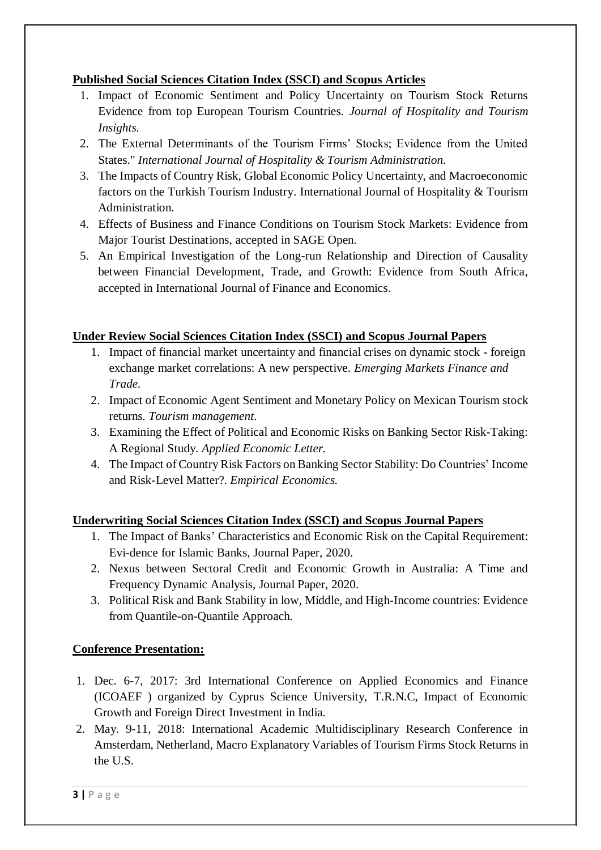# **Published Social Sciences Citation Index (SSCI) and Scopus Articles**

- 1. Impact of Economic Sentiment and Policy Uncertainty on Tourism Stock Returns Evidence from top European Tourism Countries. *Journal of Hospitality and Tourism Insights.*
- 2. The External Determinants of the Tourism Firms' Stocks; Evidence from the United States." *International Journal of Hospitality & Tourism Administration.*
- 3. The Impacts of Country Risk, Global Economic Policy Uncertainty, and Macroeconomic factors on the Turkish Tourism Industry. International Journal of Hospitality & Tourism Administration.
- 4. Effects of Business and Finance Conditions on Tourism Stock Markets: Evidence from Major Tourist Destinations, accepted in SAGE Open.
- 5. An Empirical Investigation of the Long-run Relationship and Direction of Causality between Financial Development, Trade, and Growth: Evidence from South Africa, accepted in International Journal of Finance and Economics.

# **Under Review Social Sciences Citation Index (SSCI) and Scopus Journal Papers**

- 1. Impact of financial market uncertainty and financial crises on dynamic stock foreign exchange market correlations: A new perspective. *Emerging Markets Finance and Trade.*
- 2. Impact of Economic Agent Sentiment and Monetary Policy on Mexican Tourism stock returns. *Tourism management*.
- 3. Examining the Effect of Political and Economic Risks on Banking Sector Risk-Taking: A Regional Study. *Applied Economic Letter.*
- 4. The Impact of Country Risk Factors on Banking Sector Stability: Do Countries' Income and Risk-Level Matter?. *Empirical Economics.*

# **Underwriting Social Sciences Citation Index (SSCI) and Scopus Journal Papers**

- 1. The Impact of Banks' Characteristics and Economic Risk on the Capital Requirement: Evi-dence for Islamic Banks, Journal Paper, 2020.
- 2. Nexus between Sectoral Credit and Economic Growth in Australia: A Time and Frequency Dynamic Analysis, Journal Paper, 2020.
- 3. Political Risk and Bank Stability in low, Middle, and High-Income countries: Evidence from Quantile-on-Quantile Approach.

## **Conference Presentation:**

- 1. Dec. 6-7, 2017: 3rd International Conference on Applied Economics and Finance (ICOAEF ) organized by Cyprus Science University, T.R.N.C, Impact of Economic Growth and Foreign Direct Investment in India.
- 2. May. 9-11, 2018: International Academic Multidisciplinary Research Conference in Amsterdam, Netherland, Macro Explanatory Variables of Tourism Firms Stock Returns in the U.S.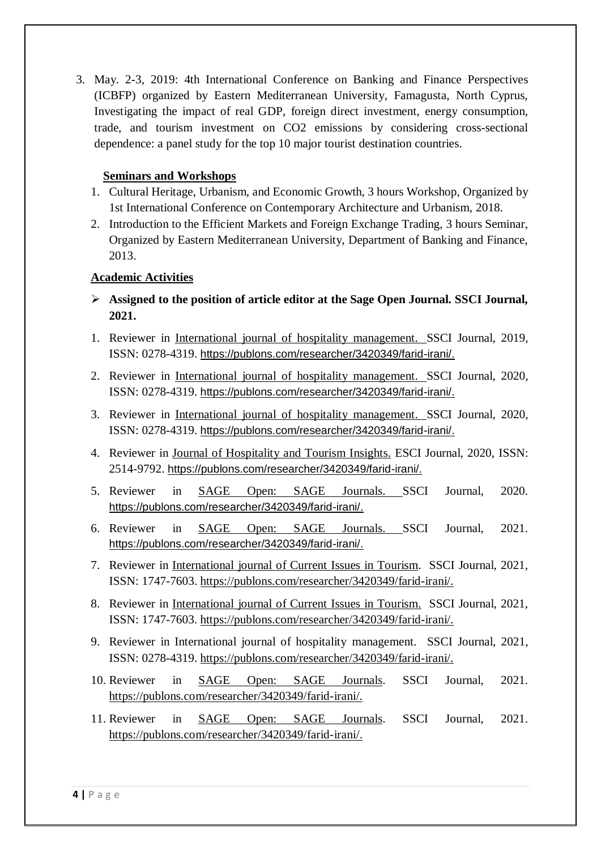3. May. 2-3, 2019: 4th International Conference on Banking and Finance Perspectives (ICBFP) organized by Eastern Mediterranean University, Famagusta, North Cyprus, Investigating the impact of real GDP, foreign direct investment, energy consumption, trade, and tourism investment on CO2 emissions by considering cross-sectional dependence: a panel study for the top 10 major tourist destination countries.

## **Seminars and Workshops**

- 1. Cultural Heritage, Urbanism, and Economic Growth, 3 hours Workshop, Organized by 1st International Conference on Contemporary Architecture and Urbanism, 2018.
- 2. Introduction to the Efficient Markets and Foreign Exchange Trading, 3 hours Seminar, Organized by Eastern Mediterranean University, Department of Banking and Finance, 2013.

### **Academic Activities**

- **Assigned to the position of article editor at the Sage Open Journal. SSCI Journal, 2021.**
- 1. Reviewer in International journal of hospitality [management.](http://www.tandfonline.com/toc/mree20/current) SSCI Journal, 2019, ISSN: 0278-4319. [https://publons.com/researcher/3420349/farid-irani/.](https://publons.com/researcher/3420349/farid-irani/)
- 2. Reviewer in International journal of hospitality [management.](http://www.tandfonline.com/toc/mree20/current) SSCI Journal, 2020, ISSN: 0278-4319. [https://publons.com/researcher/3420349/farid-irani/.](https://publons.com/researcher/3420349/farid-irani/)
- 3. Reviewer in International journal of hospitality [management.](http://www.tandfonline.com/toc/mree20/current) SSCI Journal, 2020, ISSN: 0278-4319. [https://publons.com/researcher/3420349/farid-irani/.](https://publons.com/researcher/3420349/farid-irani/)
- 4. Reviewer in Journal of Hospitality and Tourism Insights. ESCI Journal, 2020, ISSN: 2514-9792. [https://publons.com/researcher/3420349/farid-irani/.](https://publons.com/researcher/3420349/farid-irani/)
- 5. Reviewer in SAGE Open: SAGE Journals. SSCI Journal, 2020. [https://publons.com/researcher/3420349/farid-irani/.](https://publons.com/researcher/3420349/farid-irani/)
- 6. Reviewer in SAGE Open: SAGE Journals. SSCI Journal, 2021. [https://publons.com/researcher/3420349/farid-irani/.](https://publons.com/researcher/3420349/farid-irani/)
- 7. Reviewer in International journal of Current Issues in Tourism. SSCI Journal, 2021, ISSN: 1747-7603. https://publons.com/researcher/3420349/farid-irani/.
- 8. Reviewer in International journal of Current Issues in Tourism. SSCI Journal, 2021, ISSN: 1747-7603. https://publons.com/researcher/3420349/farid-irani/.
- 9. Reviewer in International journal of hospitality management. SSCI Journal, 2021, ISSN: 0278-4319. https://publons.com/researcher/3420349/farid-irani/.
- 10. Reviewer in SAGE Open: SAGE Journals. SSCI Journal, 2021. https://publons.com/researcher/3420349/farid-irani/.
- 11. Reviewer in SAGE Open: SAGE Journals. SSCI Journal, 2021. [https://publons.com/researcher/3420349/farid-irani/.](https://publons.com/researcher/3420349/farid-irani/)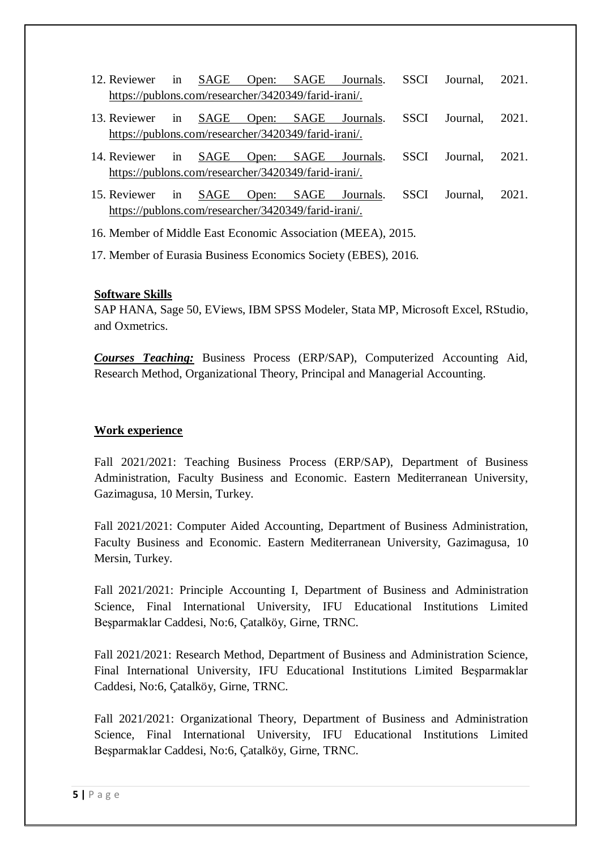- 12. Reviewer in SAGE Open: SAGE Journals. SSCI Journal, 2021. https://publons.com/researcher/3420349/farid-irani/.
- 13. Reviewer in SAGE Open: SAGE Journals. SSCI Journal, 2021. https://publons.com/researcher/3420349/farid-irani/.
- 14. Reviewer in SAGE Open: SAGE Journals. SSCI Journal, 2021. https://publons.com/researcher/3420349/farid-irani/.
- 15. Reviewer in SAGE Open: SAGE Journals. SSCI Journal, 2021. https://publons.com/researcher/3420349/farid-irani/.
- 16. Member of Middle East Economic Association (MEEA), 2015.
- 17. Member of Eurasia Business Economics Society (EBES), 2016.

#### **Software Skills**

SAP HANA, Sage 50, EViews, IBM SPSS Modeler, Stata MP, Microsoft Excel, RStudio, and Oxmetrics.

*Courses Teaching:* Business Process (ERP/SAP), Computerized Accounting Aid, Research Method, Organizational Theory, Principal and Managerial Accounting.

#### **Work experience**

Fall 2021/2021: Teaching Business Process (ERP/SAP), Department of Business Administration, Faculty Business and Economic. Eastern Mediterranean University, Gazimagusa, 10 Mersin, Turkey.

Fall 2021/2021: Computer Aided Accounting, Department of Business Administration, Faculty Business and Economic. Eastern Mediterranean University, Gazimagusa, 10 Mersin, Turkey.

Fall 2021/2021: Principle Accounting I, Department of Business and Administration Science, Final International University, IFU Educational Institutions Limited Beşparmaklar Caddesi, No:6, Çatalköy, Girne, TRNC.

Fall 2021/2021: Research Method, Department of Business and Administration Science, Final International University, IFU Educational Institutions Limited Beşparmaklar Caddesi, No:6, Çatalköy, Girne, TRNC.

Fall 2021/2021: Organizational Theory, Department of Business and Administration Science, Final International University, IFU Educational Institutions Limited Beşparmaklar Caddesi, No:6, Çatalköy, Girne, TRNC.